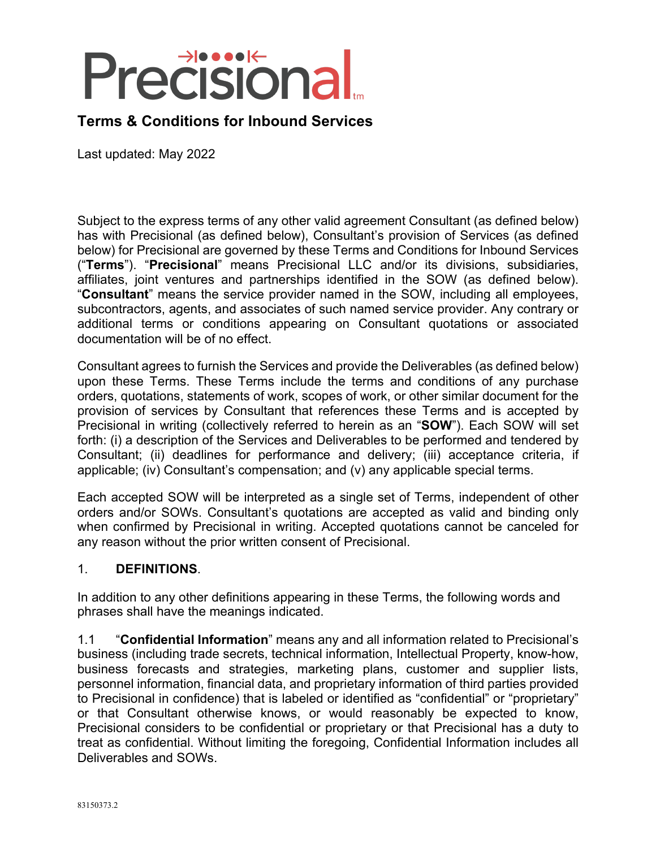# **Precisiona**

# **Terms & Conditions for Inbound Services**

Last updated: May 2022

Subject to the express terms of any other valid agreement Consultant (as defined below) has with Precisional (as defined below), Consultant's provision of Services (as defined below) for Precisional are governed by these Terms and Conditions for Inbound Services ("**Terms**"). "**Precisional**" means Precisional LLC and/or its divisions, subsidiaries, affiliates, joint ventures and partnerships identified in the SOW (as defined below). "**Consultant**" means the service provider named in the SOW, including all employees, subcontractors, agents, and associates of such named service provider. Any contrary or additional terms or conditions appearing on Consultant quotations or associated documentation will be of no effect.

Consultant agrees to furnish the Services and provide the Deliverables (as defined below) upon these Terms. These Terms include the terms and conditions of any purchase orders, quotations, statements of work, scopes of work, or other similar document for the provision of services by Consultant that references these Terms and is accepted by Precisional in writing (collectively referred to herein as an "**SOW**"). Each SOW will set forth: (i) a description of the Services and Deliverables to be performed and tendered by Consultant; (ii) deadlines for performance and delivery; (iii) acceptance criteria, if applicable; (iv) Consultant's compensation; and  $(v)$  any applicable special terms.

Each accepted SOW will be interpreted as a single set of Terms, independent of other orders and/or SOWs. Consultant's quotations are accepted as valid and binding only when confirmed by Precisional in writing. Accepted quotations cannot be canceled for any reason without the prior written consent of Precisional.

### 1. **DEFINITIONS**.

In addition to any other definitions appearing in these Terms, the following words and phrases shall have the meanings indicated.

1.1 "**Confidential Information**" means any and all information related to Precisional's business (including trade secrets, technical information, Intellectual Property, know-how, business forecasts and strategies, marketing plans, customer and supplier lists, personnel information, financial data, and proprietary information of third parties provided to Precisional in confidence) that is labeled or identified as "confidential" or "proprietary" or that Consultant otherwise knows, or would reasonably be expected to know, Precisional considers to be confidential or proprietary or that Precisional has a duty to treat as confidential. Without limiting the foregoing, Confidential Information includes all Deliverables and SOWs.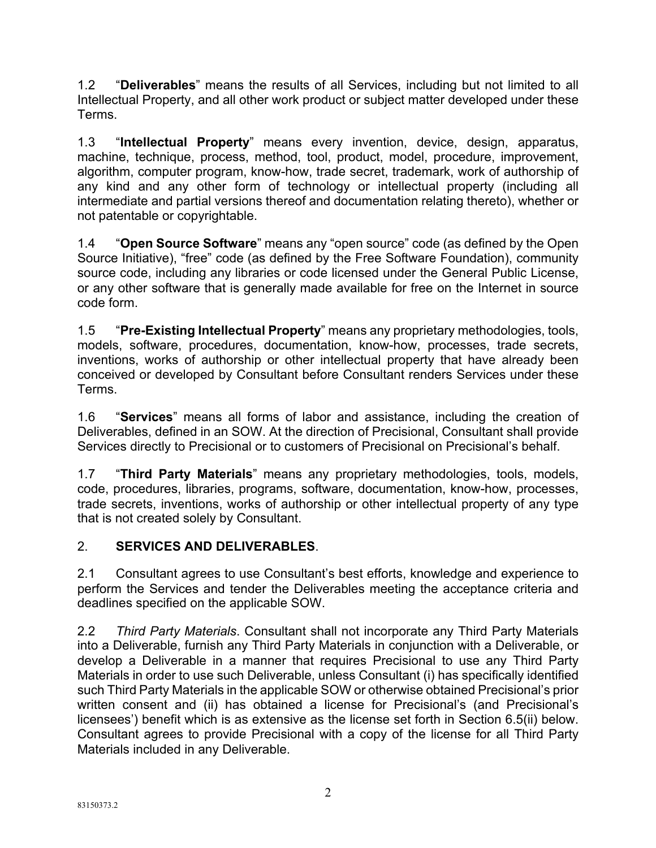1.2 "**Deliverables**" means the results of all Services, including but not limited to all Intellectual Property, and all other work product or subject matter developed under these Terms.

1.3 "**Intellectual Property**" means every invention, device, design, apparatus, machine, technique, process, method, tool, product, model, procedure, improvement, algorithm, computer program, know-how, trade secret, trademark, work of authorship of any kind and any other form of technology or intellectual property (including all intermediate and partial versions thereof and documentation relating thereto), whether or not patentable or copyrightable.

1.4 "**Open Source Software**" means any "open source" code (as defined by the Open Source Initiative), "free" code (as defined by the Free Software Foundation), community source code, including any libraries or code licensed under the General Public License, or any other software that is generally made available for free on the Internet in source code form.

1.5 "**Pre-Existing Intellectual Property**" means any proprietary methodologies, tools, models, software, procedures, documentation, know-how, processes, trade secrets, inventions, works of authorship or other intellectual property that have already been conceived or developed by Consultant before Consultant renders Services under these Terms.

1.6 "**Services**" means all forms of labor and assistance, including the creation of Deliverables, defined in an SOW. At the direction of Precisional, Consultant shall provide Services directly to Precisional or to customers of Precisional on Precisional's behalf.

1.7 "**Third Party Materials**" means any proprietary methodologies, tools, models, code, procedures, libraries, programs, software, documentation, know-how, processes, trade secrets, inventions, works of authorship or other intellectual property of any type that is not created solely by Consultant.

# 2. **SERVICES AND DELIVERABLES**.

2.1 Consultant agrees to use Consultant's best efforts, knowledge and experience to perform the Services and tender the Deliverables meeting the acceptance criteria and deadlines specified on the applicable SOW.

2.2 *Third Party Materials*. Consultant shall not incorporate any Third Party Materials into a Deliverable, furnish any Third Party Materials in conjunction with a Deliverable, or develop a Deliverable in a manner that requires Precisional to use any Third Party Materials in order to use such Deliverable, unless Consultant (i) has specifically identified such Third Party Materials in the applicable SOW or otherwise obtained Precisional's prior written consent and (ii) has obtained a license for Precisional's (and Precisional's licensees') benefit which is as extensive as the license set forth in Section 6.5(ii) below. Consultant agrees to provide Precisional with a copy of the license for all Third Party Materials included in any Deliverable.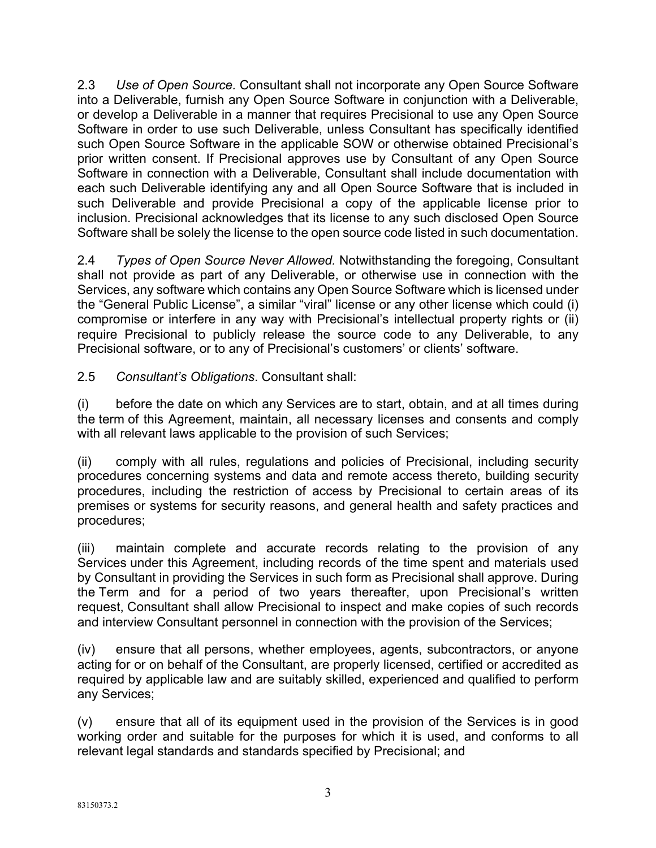2.3 *Use of Open Source.* Consultant shall not incorporate any Open Source Software into a Deliverable, furnish any Open Source Software in conjunction with a Deliverable, or develop a Deliverable in a manner that requires Precisional to use any Open Source Software in order to use such Deliverable, unless Consultant has specifically identified such Open Source Software in the applicable SOW or otherwise obtained Precisional's prior written consent. If Precisional approves use by Consultant of any Open Source Software in connection with a Deliverable, Consultant shall include documentation with each such Deliverable identifying any and all Open Source Software that is included in such Deliverable and provide Precisional a copy of the applicable license prior to inclusion. Precisional acknowledges that its license to any such disclosed Open Source Software shall be solely the license to the open source code listed in such documentation.

2.4 *Types of Open Source Never Allowed.* Notwithstanding the foregoing, Consultant shall not provide as part of any Deliverable, or otherwise use in connection with the Services, any software which contains any Open Source Software which is licensed under the "General Public License", a similar "viral" license or any other license which could (i) compromise or interfere in any way with Precisional's intellectual property rights or (ii) require Precisional to publicly release the source code to any Deliverable, to any Precisional software, or to any of Precisional's customers' or clients' software.

2.5 *Consultant's Obligations*. Consultant shall:

(i) before the date on which any Services are to start, obtain, and at all times during the term of this Agreement, maintain, all necessary licenses and consents and comply with all relevant laws applicable to the provision of such Services;

(ii) comply with all rules, regulations and policies of Precisional, including security procedures concerning systems and data and remote access thereto, building security procedures, including the restriction of access by Precisional to certain areas of its premises or systems for security reasons, and general health and safety practices and procedures;

(iii) maintain complete and accurate records relating to the provision of any Services under this Agreement, including records of the time spent and materials used by Consultant in providing the Services in such form as Precisional shall approve. During the Term and for a period of two years thereafter, upon Precisional's written request, Consultant shall allow Precisional to inspect and make copies of such records and interview Consultant personnel in connection with the provision of the Services;

(iv) ensure that all persons, whether employees, agents, subcontractors, or anyone acting for or on behalf of the Consultant, are properly licensed, certified or accredited as required by applicable law and are suitably skilled, experienced and qualified to perform any Services;

(v) ensure that all of its equipment used in the provision of the Services is in good working order and suitable for the purposes for which it is used, and conforms to all relevant legal standards and standards specified by Precisional; and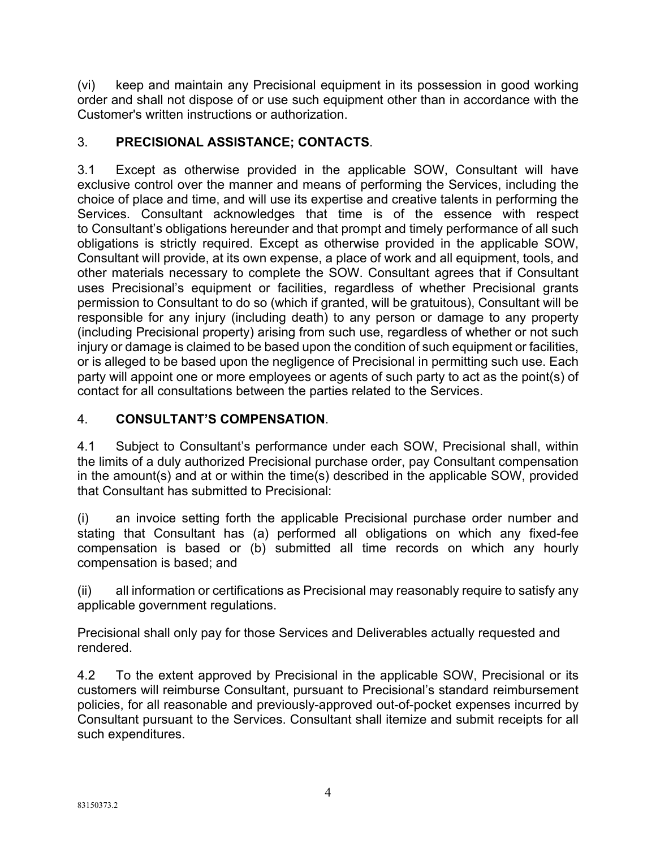(vi) keep and maintain any Precisional equipment in its possession in good working order and shall not dispose of or use such equipment other than in accordance with the Customer's written instructions or authorization.

# 3. **PRECISIONAL ASSISTANCE; CONTACTS**.

3.1 Except as otherwise provided in the applicable SOW, Consultant will have exclusive control over the manner and means of performing the Services, including the choice of place and time, and will use its expertise and creative talents in performing the Services. Consultant acknowledges that time is of the essence with respect to Consultant's obligations hereunder and that prompt and timely performance of all such obligations is strictly required. Except as otherwise provided in the applicable SOW, Consultant will provide, at its own expense, a place of work and all equipment, tools, and other materials necessary to complete the SOW. Consultant agrees that if Consultant uses Precisional's equipment or facilities, regardless of whether Precisional grants permission to Consultant to do so (which if granted, will be gratuitous), Consultant will be responsible for any injury (including death) to any person or damage to any property (including Precisional property) arising from such use, regardless of whether or not such injury or damage is claimed to be based upon the condition of such equipment or facilities, or is alleged to be based upon the negligence of Precisional in permitting such use. Each party will appoint one or more employees or agents of such party to act as the point(s) of contact for all consultations between the parties related to the Services.

## 4. **CONSULTANT'S COMPENSATION**.

4.1 Subject to Consultant's performance under each SOW, Precisional shall, within the limits of a duly authorized Precisional purchase order, pay Consultant compensation in the amount(s) and at or within the time(s) described in the applicable SOW, provided that Consultant has submitted to Precisional:

(i) an invoice setting forth the applicable Precisional purchase order number and stating that Consultant has (a) performed all obligations on which any fixed-fee compensation is based or (b) submitted all time records on which any hourly compensation is based; and

(ii) all information or certifications as Precisional may reasonably require to satisfy any applicable government regulations.

Precisional shall only pay for those Services and Deliverables actually requested and rendered.

4.2 To the extent approved by Precisional in the applicable SOW, Precisional or its customers will reimburse Consultant, pursuant to Precisional's standard reimbursement policies, for all reasonable and previously-approved out-of-pocket expenses incurred by Consultant pursuant to the Services. Consultant shall itemize and submit receipts for all such expenditures.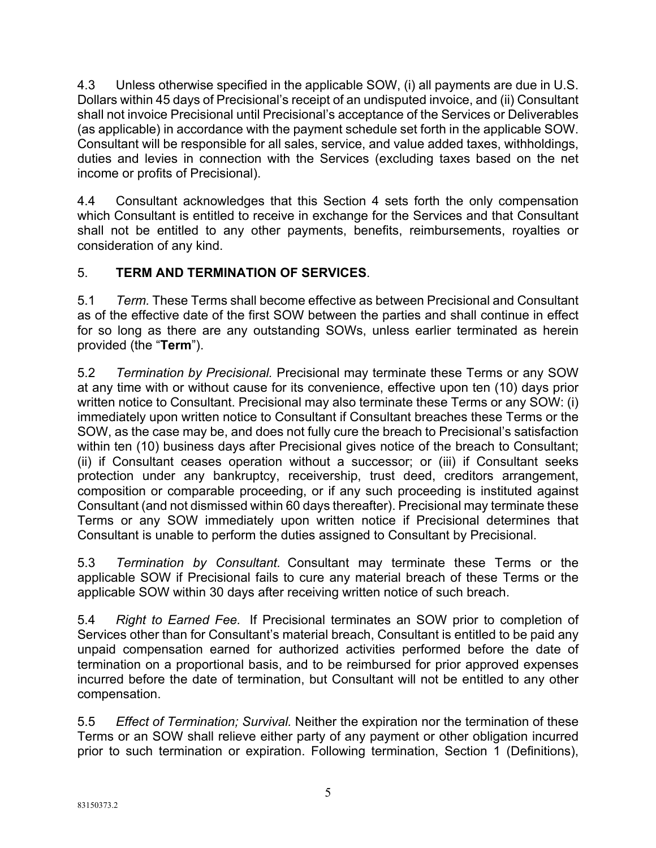4.3 Unless otherwise specified in the applicable SOW, (i) all payments are due in U.S. Dollars within 45 days of Precisional's receipt of an undisputed invoice, and (ii) Consultant shall not invoice Precisional until Precisional's acceptance of the Services or Deliverables (as applicable) in accordance with the payment schedule set forth in the applicable SOW. Consultant will be responsible for all sales, service, and value added taxes, withholdings, duties and levies in connection with the Services (excluding taxes based on the net income or profits of Precisional).

4.4 Consultant acknowledges that this Section 4 sets forth the only compensation which Consultant is entitled to receive in exchange for the Services and that Consultant shall not be entitled to any other payments, benefits, reimbursements, royalties or consideration of any kind.

# 5. **TERM AND TERMINATION OF SERVICES**.

5.1 *Term.* These Terms shall become effective as between Precisional and Consultant as of the effective date of the first SOW between the parties and shall continue in effect for so long as there are any outstanding SOWs, unless earlier terminated as herein provided (the "**Term**").

5.2 *Termination by Precisional.* Precisional may terminate these Terms or any SOW at any time with or without cause for its convenience, effective upon ten (10) days prior written notice to Consultant. Precisional may also terminate these Terms or any SOW: (i) immediately upon written notice to Consultant if Consultant breaches these Terms or the SOW, as the case may be, and does not fully cure the breach to Precisional's satisfaction within ten (10) business days after Precisional gives notice of the breach to Consultant; (ii) if Consultant ceases operation without a successor; or (iii) if Consultant seeks protection under any bankruptcy, receivership, trust deed, creditors arrangement, composition or comparable proceeding, or if any such proceeding is instituted against Consultant (and not dismissed within 60 days thereafter). Precisional may terminate these Terms or any SOW immediately upon written notice if Precisional determines that Consultant is unable to perform the duties assigned to Consultant by Precisional.

5.3 *Termination by Consultant.* Consultant may terminate these Terms or the applicable SOW if Precisional fails to cure any material breach of these Terms or the applicable SOW within 30 days after receiving written notice of such breach.

5.4 *Right to Earned Fee.* If Precisional terminates an SOW prior to completion of Services other than for Consultant's material breach, Consultant is entitled to be paid any unpaid compensation earned for authorized activities performed before the date of termination on a proportional basis, and to be reimbursed for prior approved expenses incurred before the date of termination, but Consultant will not be entitled to any other compensation.

5.5 *Effect of Termination; Survival.* Neither the expiration nor the termination of these Terms or an SOW shall relieve either party of any payment or other obligation incurred prior to such termination or expiration. Following termination, Section 1 (Definitions),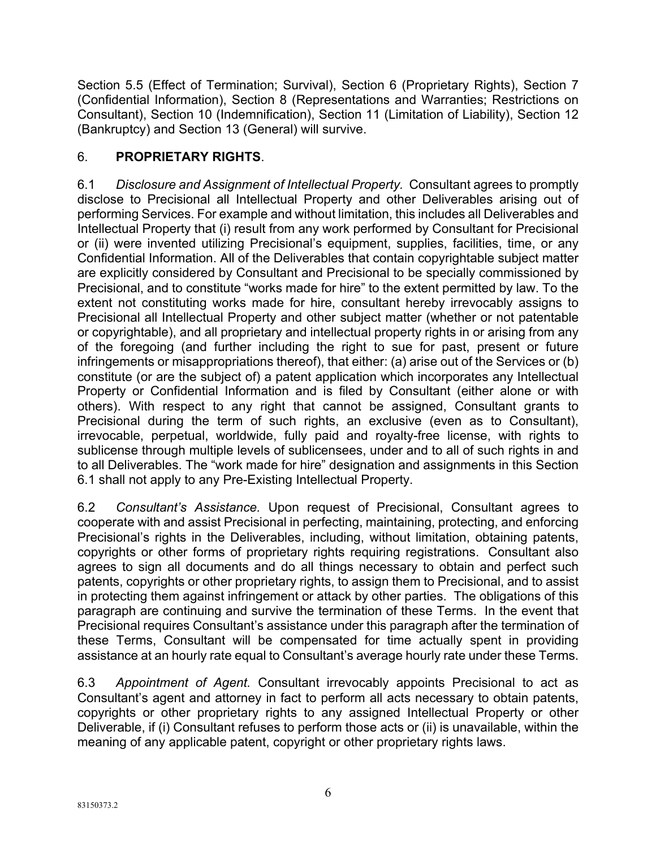Section 5.5 (Effect of Termination; Survival), Section 6 (Proprietary Rights), Section 7 (Confidential Information), Section 8 (Representations and Warranties; Restrictions on Consultant), Section 10 (Indemnification), Section 11 (Limitation of Liability), Section 12 (Bankruptcy) and Section 13 (General) will survive.

# 6. **PROPRIETARY RIGHTS**.

6.1 *Disclosure and Assignment of Intellectual Property.* Consultant agrees to promptly disclose to Precisional all Intellectual Property and other Deliverables arising out of performing Services. For example and without limitation, this includes all Deliverables and Intellectual Property that (i) result from any work performed by Consultant for Precisional or (ii) were invented utilizing Precisional's equipment, supplies, facilities, time, or any Confidential Information. All of the Deliverables that contain copyrightable subject matter are explicitly considered by Consultant and Precisional to be specially commissioned by Precisional, and to constitute "works made for hire" to the extent permitted by law. To the extent not constituting works made for hire, consultant hereby irrevocably assigns to Precisional all Intellectual Property and other subject matter (whether or not patentable or copyrightable), and all proprietary and intellectual property rights in or arising from any of the foregoing (and further including the right to sue for past, present or future infringements or misappropriations thereof), that either: (a) arise out of the Services or (b) constitute (or are the subject of) a patent application which incorporates any Intellectual Property or Confidential Information and is filed by Consultant (either alone or with others). With respect to any right that cannot be assigned, Consultant grants to Precisional during the term of such rights, an exclusive (even as to Consultant), irrevocable, perpetual, worldwide, fully paid and royalty-free license, with rights to sublicense through multiple levels of sublicensees, under and to all of such rights in and to all Deliverables. The "work made for hire" designation and assignments in this Section 6.1 shall not apply to any Pre-Existing Intellectual Property.

6.2 *Consultant's Assistance.* Upon request of Precisional, Consultant agrees to cooperate with and assist Precisional in perfecting, maintaining, protecting, and enforcing Precisional's rights in the Deliverables, including, without limitation, obtaining patents, copyrights or other forms of proprietary rights requiring registrations. Consultant also agrees to sign all documents and do all things necessary to obtain and perfect such patents, copyrights or other proprietary rights, to assign them to Precisional, and to assist in protecting them against infringement or attack by other parties. The obligations of this paragraph are continuing and survive the termination of these Terms. In the event that Precisional requires Consultant's assistance under this paragraph after the termination of these Terms, Consultant will be compensated for time actually spent in providing assistance at an hourly rate equal to Consultant's average hourly rate under these Terms.

6.3 *Appointment of Agent.* Consultant irrevocably appoints Precisional to act as Consultant's agent and attorney in fact to perform all acts necessary to obtain patents, copyrights or other proprietary rights to any assigned Intellectual Property or other Deliverable, if (i) Consultant refuses to perform those acts or (ii) is unavailable, within the meaning of any applicable patent, copyright or other proprietary rights laws.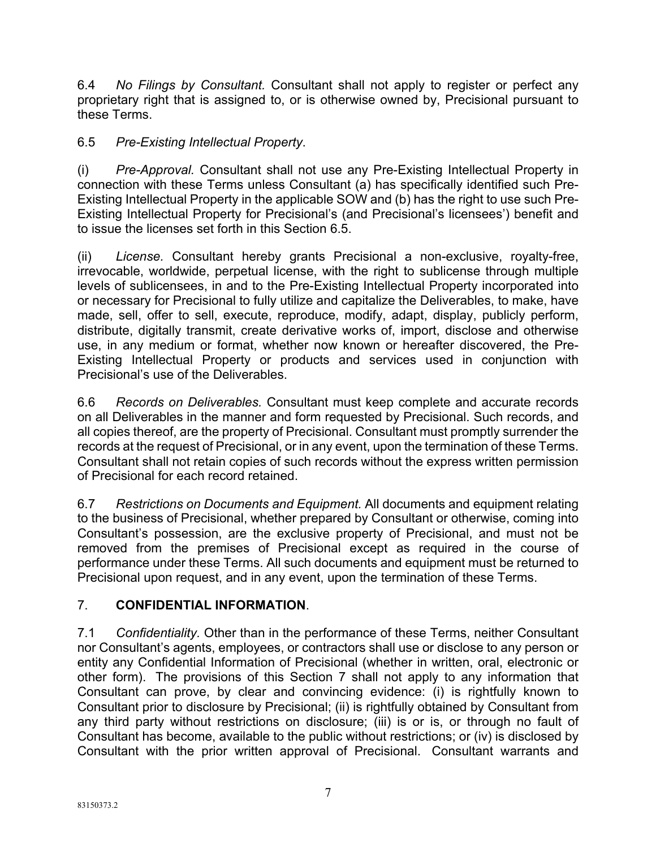6.4 *No Filings by Consultant.* Consultant shall not apply to register or perfect any proprietary right that is assigned to, or is otherwise owned by, Precisional pursuant to these Terms.

## 6.5 *Pre-Existing Intellectual Property*.

(i) *Pre-Approval.* Consultant shall not use any Pre-Existing Intellectual Property in connection with these Terms unless Consultant (a) has specifically identified such Pre-Existing Intellectual Property in the applicable SOW and (b) has the right to use such Pre-Existing Intellectual Property for Precisional's (and Precisional's licensees') benefit and to issue the licenses set forth in this Section 6.5.

(ii) *License.* Consultant hereby grants Precisional a non-exclusive, royalty-free, irrevocable, worldwide, perpetual license, with the right to sublicense through multiple levels of sublicensees, in and to the Pre-Existing Intellectual Property incorporated into or necessary for Precisional to fully utilize and capitalize the Deliverables, to make, have made, sell, offer to sell, execute, reproduce, modify, adapt, display, publicly perform, distribute, digitally transmit, create derivative works of, import, disclose and otherwise use, in any medium or format, whether now known or hereafter discovered, the Pre-Existing Intellectual Property or products and services used in conjunction with Precisional's use of the Deliverables.

6.6 *Records on Deliverables.* Consultant must keep complete and accurate records on all Deliverables in the manner and form requested by Precisional. Such records, and all copies thereof, are the property of Precisional. Consultant must promptly surrender the records at the request of Precisional, or in any event, upon the termination of these Terms. Consultant shall not retain copies of such records without the express written permission of Precisional for each record retained.

6.7 *Restrictions on Documents and Equipment.* All documents and equipment relating to the business of Precisional, whether prepared by Consultant or otherwise, coming into Consultant's possession, are the exclusive property of Precisional, and must not be removed from the premises of Precisional except as required in the course of performance under these Terms. All such documents and equipment must be returned to Precisional upon request, and in any event, upon the termination of these Terms.

### 7. **CONFIDENTIAL INFORMATION**.

7.1 *Confidentiality.* Other than in the performance of these Terms, neither Consultant nor Consultant's agents, employees, or contractors shall use or disclose to any person or entity any Confidential Information of Precisional (whether in written, oral, electronic or other form). The provisions of this Section 7 shall not apply to any information that Consultant can prove, by clear and convincing evidence: (i) is rightfully known to Consultant prior to disclosure by Precisional; (ii) is rightfully obtained by Consultant from any third party without restrictions on disclosure; (iii) is or is, or through no fault of Consultant has become, available to the public without restrictions; or (iv) is disclosed by Consultant with the prior written approval of Precisional. Consultant warrants and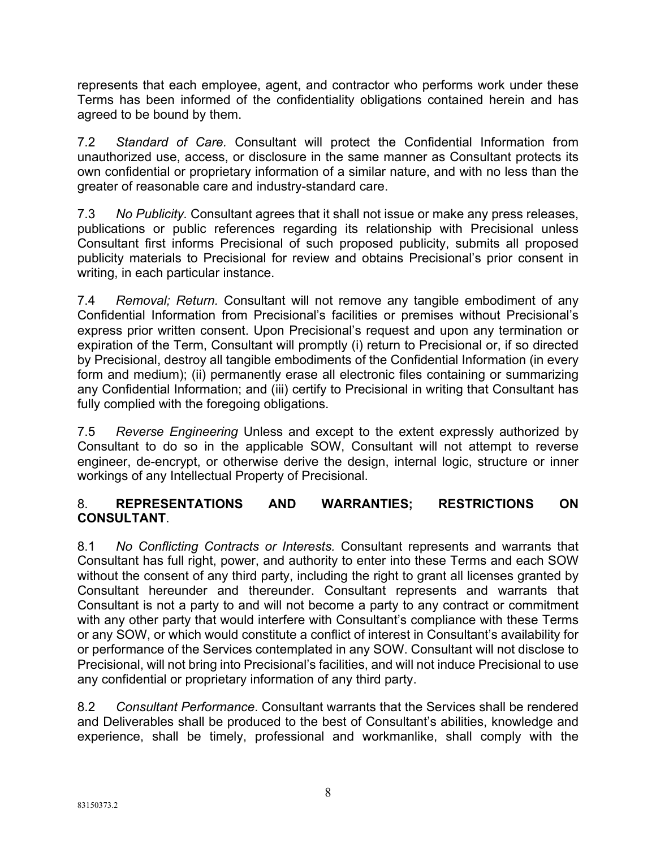represents that each employee, agent, and contractor who performs work under these Terms has been informed of the confidentiality obligations contained herein and has agreed to be bound by them.

7.2 *Standard of Care.* Consultant will protect the Confidential Information from unauthorized use, access, or disclosure in the same manner as Consultant protects its own confidential or proprietary information of a similar nature, and with no less than the greater of reasonable care and industry-standard care.

7.3 *No Publicity.* Consultant agrees that it shall not issue or make any press releases, publications or public references regarding its relationship with Precisional unless Consultant first informs Precisional of such proposed publicity, submits all proposed publicity materials to Precisional for review and obtains Precisional's prior consent in writing, in each particular instance.

7.4 *Removal; Return.* Consultant will not remove any tangible embodiment of any Confidential Information from Precisional's facilities or premises without Precisional's express prior written consent. Upon Precisional's request and upon any termination or expiration of the Term, Consultant will promptly (i) return to Precisional or, if so directed by Precisional, destroy all tangible embodiments of the Confidential Information (in every form and medium); (ii) permanently erase all electronic files containing or summarizing any Confidential Information; and (iii) certify to Precisional in writing that Consultant has fully complied with the foregoing obligations.

7.5 *Reverse Engineering* Unless and except to the extent expressly authorized by Consultant to do so in the applicable SOW, Consultant will not attempt to reverse engineer, de-encrypt, or otherwise derive the design, internal logic, structure or inner workings of any Intellectual Property of Precisional.

### 8. **REPRESENTATIONS AND WARRANTIES; RESTRICTIONS ON CONSULTANT**.

8.1 *No Conflicting Contracts or Interests.* Consultant represents and warrants that Consultant has full right, power, and authority to enter into these Terms and each SOW without the consent of any third party, including the right to grant all licenses granted by Consultant hereunder and thereunder. Consultant represents and warrants that Consultant is not a party to and will not become a party to any contract or commitment with any other party that would interfere with Consultant's compliance with these Terms or any SOW, or which would constitute a conflict of interest in Consultant's availability for or performance of the Services contemplated in any SOW. Consultant will not disclose to Precisional, will not bring into Precisional's facilities, and will not induce Precisional to use any confidential or proprietary information of any third party.

8.2 *Consultant Performance*. Consultant warrants that the Services shall be rendered and Deliverables shall be produced to the best of Consultant's abilities, knowledge and experience, shall be timely, professional and workmanlike, shall comply with the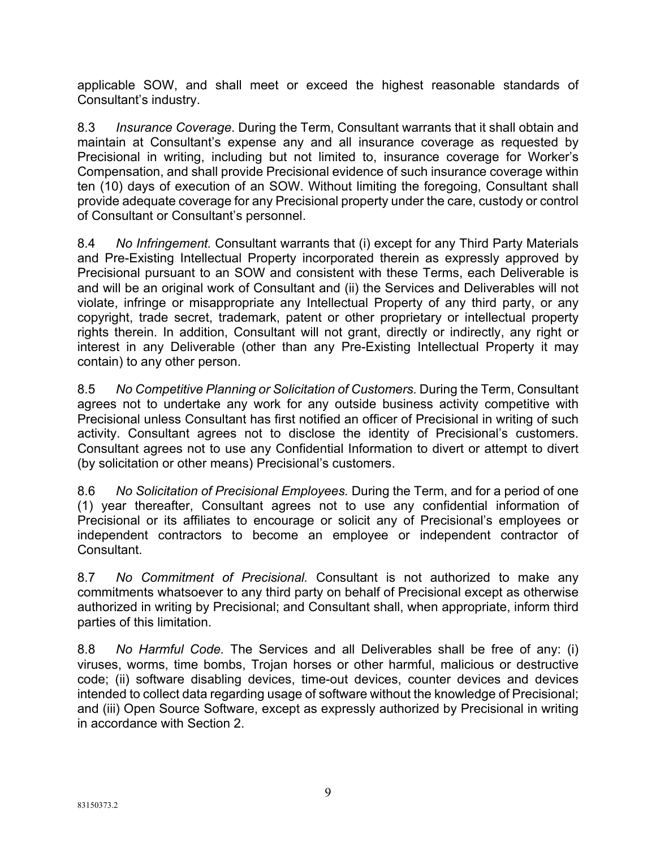applicable SOW, and shall meet or exceed the highest reasonable standards of Consultant's industry.

8.3 *Insurance Coverage*. During the Term, Consultant warrants that it shall obtain and maintain at Consultant's expense any and all insurance coverage as requested by Precisional in writing, including but not limited to, insurance coverage for Worker's Compensation, and shall provide Precisional evidence of such insurance coverage within ten (10) days of execution of an SOW. Without limiting the foregoing, Consultant shall provide adequate coverage for any Precisional property under the care, custody or control of Consultant or Consultant's personnel.

8.4 *No Infringement.* Consultant warrants that (i) except for any Third Party Materials and Pre-Existing Intellectual Property incorporated therein as expressly approved by Precisional pursuant to an SOW and consistent with these Terms, each Deliverable is and will be an original work of Consultant and (ii) the Services and Deliverables will not violate, infringe or misappropriate any Intellectual Property of any third party, or any copyright, trade secret, trademark, patent or other proprietary or intellectual property rights therein. In addition, Consultant will not grant, directly or indirectly, any right or interest in any Deliverable (other than any Pre-Existing Intellectual Property it may contain) to any other person.

8.5 *No Competitive Planning or Solicitation of Customers.* During the Term, Consultant agrees not to undertake any work for any outside business activity competitive with Precisional unless Consultant has first notified an officer of Precisional in writing of such activity. Consultant agrees not to disclose the identity of Precisional's customers. Consultant agrees not to use any Confidential Information to divert or attempt to divert (by solicitation or other means) Precisional's customers.

8.6 *No Solicitation of Precisional Employees.* During the Term, and for a period of one (1) year thereafter, Consultant agrees not to use any confidential information of Precisional or its affiliates to encourage or solicit any of Precisional's employees or independent contractors to become an employee or independent contractor of Consultant.

8.7 *No Commitment of Precisional.* Consultant is not authorized to make any commitments whatsoever to any third party on behalf of Precisional except as otherwise authorized in writing by Precisional; and Consultant shall, when appropriate, inform third parties of this limitation.

8.8 *No Harmful Code.* The Services and all Deliverables shall be free of any: (i) viruses, worms, time bombs, Trojan horses or other harmful, malicious or destructive code; (ii) software disabling devices, time-out devices, counter devices and devices intended to collect data regarding usage of software without the knowledge of Precisional; and (iii) Open Source Software, except as expressly authorized by Precisional in writing in accordance with Section 2.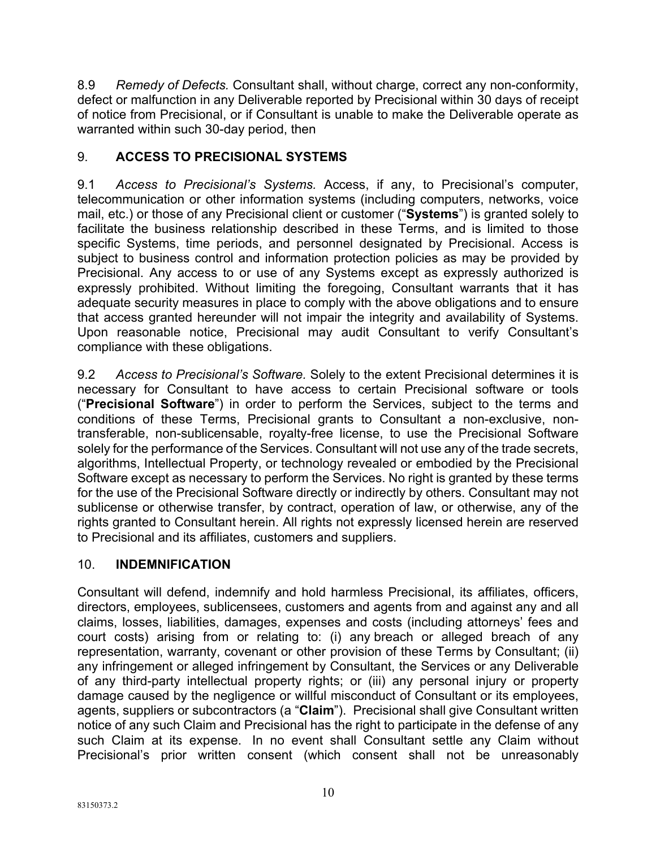8.9 *Remedy of Defects.* Consultant shall, without charge, correct any non-conformity, defect or malfunction in any Deliverable reported by Precisional within 30 days of receipt of notice from Precisional, or if Consultant is unable to make the Deliverable operate as warranted within such 30-day period, then

# 9. **ACCESS TO PRECISIONAL SYSTEMS**

9.1 *Access to Precisional's Systems.* Access, if any, to Precisional's computer, telecommunication or other information systems (including computers, networks, voice mail, etc.) or those of any Precisional client or customer ("**Systems**") is granted solely to facilitate the business relationship described in these Terms, and is limited to those specific Systems, time periods, and personnel designated by Precisional. Access is subject to business control and information protection policies as may be provided by Precisional. Any access to or use of any Systems except as expressly authorized is expressly prohibited. Without limiting the foregoing, Consultant warrants that it has adequate security measures in place to comply with the above obligations and to ensure that access granted hereunder will not impair the integrity and availability of Systems. Upon reasonable notice, Precisional may audit Consultant to verify Consultant's compliance with these obligations.

9.2 *Access to Precisional's Software.* Solely to the extent Precisional determines it is necessary for Consultant to have access to certain Precisional software or tools ("**Precisional Software**") in order to perform the Services, subject to the terms and conditions of these Terms, Precisional grants to Consultant a non-exclusive, nontransferable, non-sublicensable, royalty-free license, to use the Precisional Software solely for the performance of the Services. Consultant will not use any of the trade secrets, algorithms, Intellectual Property, or technology revealed or embodied by the Precisional Software except as necessary to perform the Services. No right is granted by these terms for the use of the Precisional Software directly or indirectly by others. Consultant may not sublicense or otherwise transfer, by contract, operation of law, or otherwise, any of the rights granted to Consultant herein. All rights not expressly licensed herein are reserved to Precisional and its affiliates, customers and suppliers.

# 10. **INDEMNIFICATION**

Consultant will defend, indemnify and hold harmless Precisional, its affiliates, officers, directors, employees, sublicensees, customers and agents from and against any and all claims, losses, liabilities, damages, expenses and costs (including attorneys' fees and court costs) arising from or relating to: (i) any breach or alleged breach of any representation, warranty, covenant or other provision of these Terms by Consultant; (ii) any infringement or alleged infringement by Consultant, the Services or any Deliverable of any third-party intellectual property rights; or (iii) any personal injury or property damage caused by the negligence or willful misconduct of Consultant or its employees, agents, suppliers or subcontractors (a "**Claim**"). Precisional shall give Consultant written notice of any such Claim and Precisional has the right to participate in the defense of any such Claim at its expense. In no event shall Consultant settle any Claim without Precisional's prior written consent (which consent shall not be unreasonably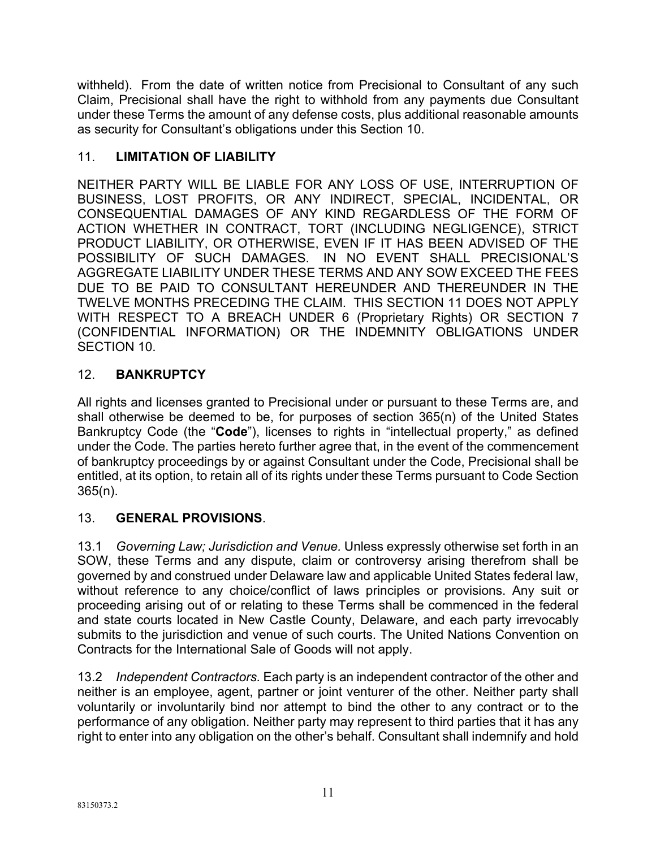withheld). From the date of written notice from Precisional to Consultant of any such Claim, Precisional shall have the right to withhold from any payments due Consultant under these Terms the amount of any defense costs, plus additional reasonable amounts as security for Consultant's obligations under this Section 10.

# 11. **LIMITATION OF LIABILITY**

NEITHER PARTY WILL BE LIABLE FOR ANY LOSS OF USE, INTERRUPTION OF BUSINESS, LOST PROFITS, OR ANY INDIRECT, SPECIAL, INCIDENTAL, OR CONSEQUENTIAL DAMAGES OF ANY KIND REGARDLESS OF THE FORM OF ACTION WHETHER IN CONTRACT, TORT (INCLUDING NEGLIGENCE), STRICT PRODUCT LIABILITY, OR OTHERWISE, EVEN IF IT HAS BEEN ADVISED OF THE POSSIBILITY OF SUCH DAMAGES. IN NO EVENT SHALL PRECISIONAL'S AGGREGATE LIABILITY UNDER THESE TERMS AND ANY SOW EXCEED THE FEES DUE TO BE PAID TO CONSULTANT HEREUNDER AND THEREUNDER IN THE TWELVE MONTHS PRECEDING THE CLAIM. THIS SECTION 11 DOES NOT APPLY WITH RESPECT TO A BREACH UNDER 6 (Proprietary Rights) OR SECTION 7 (CONFIDENTIAL INFORMATION) OR THE INDEMNITY OBLIGATIONS UNDER SECTION 10.

# 12. **BANKRUPTCY**

All rights and licenses granted to Precisional under or pursuant to these Terms are, and shall otherwise be deemed to be, for purposes of section 365(n) of the United States Bankruptcy Code (the "**Code**"), licenses to rights in "intellectual property," as defined under the Code. The parties hereto further agree that, in the event of the commencement of bankruptcy proceedings by or against Consultant under the Code, Precisional shall be entitled, at its option, to retain all of its rights under these Terms pursuant to Code Section 365(n).

# 13. **GENERAL PROVISIONS**.

13.1 *Governing Law; Jurisdiction and Venue.* Unless expressly otherwise set forth in an SOW, these Terms and any dispute, claim or controversy arising therefrom shall be governed by and construed under Delaware law and applicable United States federal law, without reference to any choice/conflict of laws principles or provisions. Any suit or proceeding arising out of or relating to these Terms shall be commenced in the federal and state courts located in New Castle County, Delaware, and each party irrevocably submits to the jurisdiction and venue of such courts. The United Nations Convention on Contracts for the International Sale of Goods will not apply.

13.2 *Independent Contractors.* Each party is an independent contractor of the other and neither is an employee, agent, partner or joint venturer of the other. Neither party shall voluntarily or involuntarily bind nor attempt to bind the other to any contract or to the performance of any obligation. Neither party may represent to third parties that it has any right to enter into any obligation on the other's behalf. Consultant shall indemnify and hold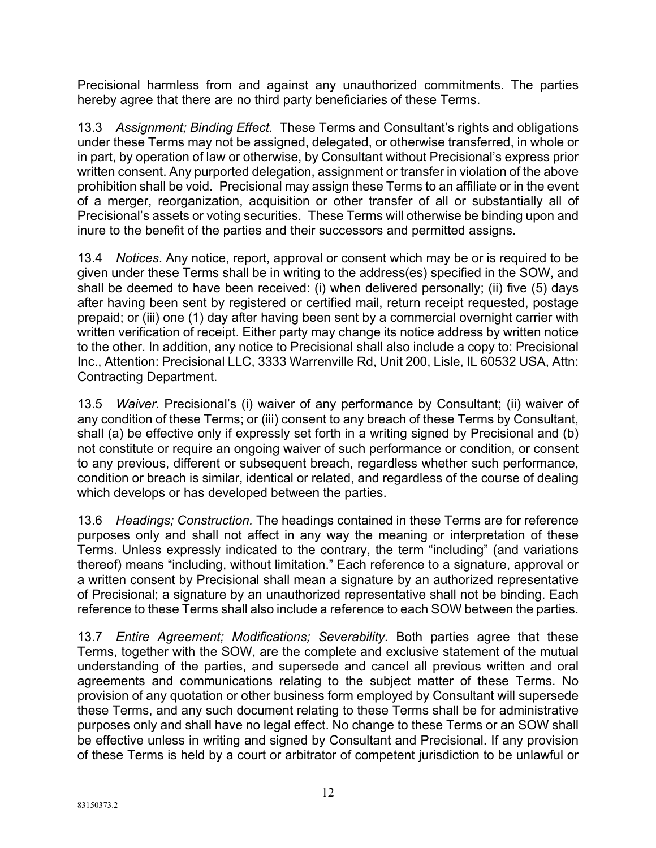Precisional harmless from and against any unauthorized commitments. The parties hereby agree that there are no third party beneficiaries of these Terms.

13.3 *Assignment; Binding Effect.* These Terms and Consultant's rights and obligations under these Terms may not be assigned, delegated, or otherwise transferred, in whole or in part, by operation of law or otherwise, by Consultant without Precisional's express prior written consent. Any purported delegation, assignment or transfer in violation of the above prohibition shall be void. Precisional may assign these Terms to an affiliate or in the event of a merger, reorganization, acquisition or other transfer of all or substantially all of Precisional's assets or voting securities. These Terms will otherwise be binding upon and inure to the benefit of the parties and their successors and permitted assigns.

13.4 *Notices*. Any notice, report, approval or consent which may be or is required to be given under these Terms shall be in writing to the address(es) specified in the SOW, and shall be deemed to have been received: (i) when delivered personally; (ii) five (5) days after having been sent by registered or certified mail, return receipt requested, postage prepaid; or (iii) one (1) day after having been sent by a commercial overnight carrier with written verification of receipt. Either party may change its notice address by written notice to the other. In addition, any notice to Precisional shall also include a copy to: Precisional Inc., Attention: Precisional LLC, 3333 Warrenville Rd, Unit 200, Lisle, IL 60532 USA, Attn: Contracting Department.

13.5 *Waiver.* Precisional's (i) waiver of any performance by Consultant; (ii) waiver of any condition of these Terms; or (iii) consent to any breach of these Terms by Consultant, shall (a) be effective only if expressly set forth in a writing signed by Precisional and (b) not constitute or require an ongoing waiver of such performance or condition, or consent to any previous, different or subsequent breach, regardless whether such performance, condition or breach is similar, identical or related, and regardless of the course of dealing which develops or has developed between the parties.

13.6 *Headings; Construction.* The headings contained in these Terms are for reference purposes only and shall not affect in any way the meaning or interpretation of these Terms. Unless expressly indicated to the contrary, the term "including" (and variations thereof) means "including, without limitation." Each reference to a signature, approval or a written consent by Precisional shall mean a signature by an authorized representative of Precisional; a signature by an unauthorized representative shall not be binding. Each reference to these Terms shall also include a reference to each SOW between the parties.

13.7 *Entire Agreement; Modifications; Severability.* Both parties agree that these Terms, together with the SOW, are the complete and exclusive statement of the mutual understanding of the parties, and supersede and cancel all previous written and oral agreements and communications relating to the subject matter of these Terms. No provision of any quotation or other business form employed by Consultant will supersede these Terms, and any such document relating to these Terms shall be for administrative purposes only and shall have no legal effect. No change to these Terms or an SOW shall be effective unless in writing and signed by Consultant and Precisional. If any provision of these Terms is held by a court or arbitrator of competent jurisdiction to be unlawful or